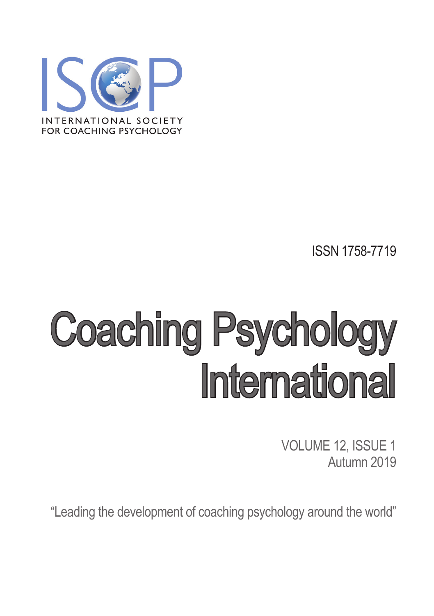

ISSN 1758-7719

# Coaching Psychology **International**

VOLUME 12, ISSUE 1 Autumn 2019

"Leading the development of coaching psychology around the world"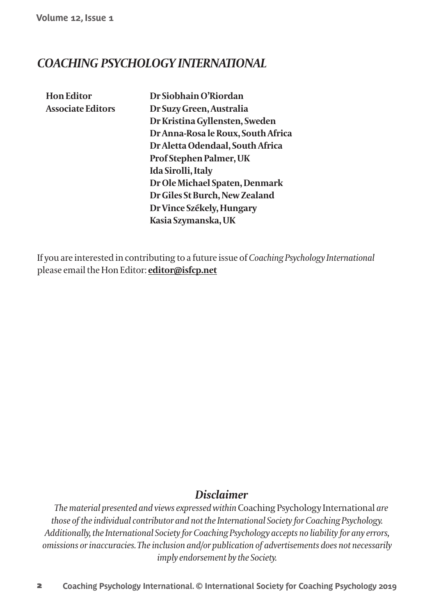Volume 12, Issue 1

# **COACHING PSYCHOLOGY INTERNATIONAL**

**Hon Editor Associate Editors**  Dr Siobhain O'Riordan Dr Suzy Green, Australia Dr Kristina Gyllensten, Sweden Dr Anna-Rosa le Roux, South Africa Dr Aletta Odendaal, South Africa Prof Stephen Palmer, UK Ida Sirolli, Italy Dr Ole Michael Spaten, Denmark Dr Giles St Burch, New Zealand Dr Vince Székely, Hungary Kasia Szymanska, UK

If you are interested in contributing to a future issue of Coaching Psychology International please email the Hon Editor: editor@isfcp.net

## **Disclaimer**

The material presented and views expressed within Coaching Psychology International are those of the individual contributor and not the International Society for Coaching Psychology. Additionally, the International Society for Coaching Psychology accepts no liability for any errors, omissions or inaccuracies. The inclusion and/or publication of advertisements does not necessarily imply endorsement by the Society.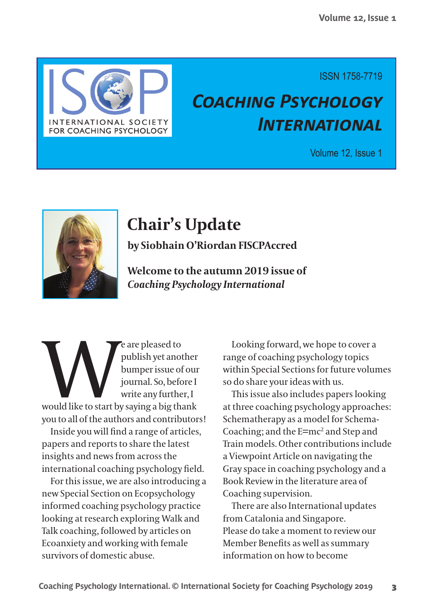

**ISSN 1758-7719** 

# **COACHING PSYCHOLOGY** *INTERNATIONAL*

## Volume 12, Issue 1



# **Chair's Update**

by Siobhain O'Riordan FISCPAccred

Welcome to the autumn 2019 issue of **Coaching Psychology International** 

e are pleased to publish yet another bumper issue of our journal. So, before I write any further, I would like to start by saying a big thank you to all of the authors and contributors!

Inside you will find a range of articles, papers and reports to share the latest insights and news from across the international coaching psychology field.

For this issue, we are also introducing a new Special Section on Ecopsychology informed coaching psychology practice looking at research exploring Walk and Talk coaching, followed by articles on Ecoanxiety and working with female survivors of domestic abuse

Looking forward, we hope to cover a range of coaching psychology topics within Special Sections for future volumes so do share your ideas with us.

This issue also includes papers looking at three coaching psychology approaches: Schematherapy as a model for Schema-Coaching; and the E=mc<sup>2</sup> and Step and Train models Other contributions include a Viewpoint Article on navigating the Gray space in coaching psychology and a Book Review in the literature area of Coaching supervision.

There are also International updates from Catalonia and Singapore. Please do take a moment to review our Member Benefits as well as summary information on how to become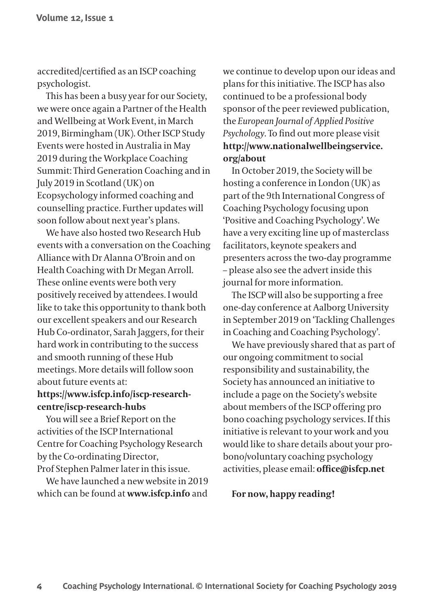accredited/certified as an ISCP coaching psychologist.

This has been a busy year for our Society, we were once again a Partner of the Health and Wellbeing at Work Event, in March 2019, Birmingham (UK). Other ISCP Study Events were hosted in Australia in May 2019 during the Workplace Coaching Summit: Third Generation Coaching and in July 2019 in Scotland (UK) on Ecopsychology informed coaching and counselling practice. Further updates will soon follow about next year's plans.

We have also hosted two Research Hub events with a conversation on the Coaching Alliance with Dr Alanna O'Broin and on Health Coaching with Dr Megan Arroll. These online events were both very positively received by attendees. I would like to take this opportunity to thank both our excellent speakers and our Research Hub Co-ordinator, Sarah Jaggers, for their hard work in contributing to the success and smooth running of these Hub meetings. More details will follow soon about future events at:

#### https://www.isfcp.info/iscp-researchcentre/iscp-research-hubs

You will see a Brief Report on the activities of the ISCP International Centre for Coaching Psychology Research by the Co-ordinating Director, Prof Stephen Palmer later in this issue.

We have launched a new website in 2019 which can be found at www.isfcp.info and

we continue to develop upon our ideas and plans for this initiative. The ISCP has also continued to be a professional body sponsor of the peer reviewed publication, the European Journal of Applied Positive Psychology. To find out more please visit http://www.nationalwellbeingservice. org/about

In October 2019, the Society will be hosting a conference in London (UK) as part of the 9th International Congress of Coaching Psychology focusing upon 'Positive and Coaching Psychology'. We have a very exciting line up of masterclass facilitators, keynote speakers and presenters across the two-day programme - please also see the advert inside this journal for more information.

The ISCP will also be supporting a free one-day conference at Aalborg University in September 2019 on 'Tackling Challenges in Coaching and Coaching Psychology'.

We have previously shared that as part of our ongoing commitment to social responsibility and sustainability, the Society has announced an initiative to include a page on the Society's website about members of the ISCP offering pro bono coaching psychology services. If this initiative is relevant to your work and you would like to share details about your probono/voluntary coaching psychology activities, please email: office@isfcp.net

#### For now, happy reading!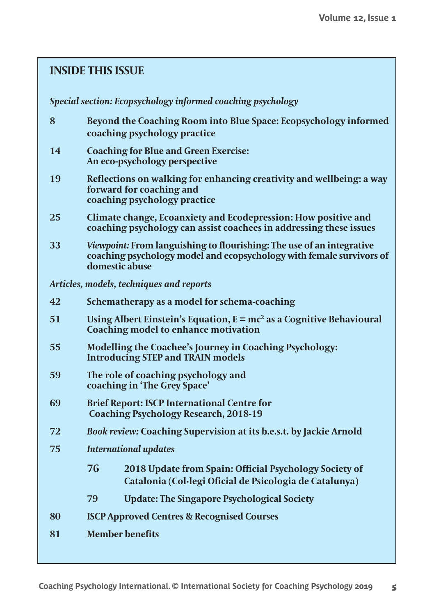## **INSIDE THIS ISSUE**

#### Special section: Ecopsychology informed coaching psychology

- $\overline{\mathbf{8}}$ Beyond the Coaching Room into Blue Space: Ecopsychology informed coaching psychology practice
- 14 **Coaching for Blue and Green Exercise:** An eco-psychology perspective
- 19 Reflections on walking for enhancing creativity and wellbeing: a way forward for coaching and coaching psychology practice
- $25$ Climate change, Ecoanxiety and Ecodepression: How positive and coaching psychology can assist coachees in addressing these issues
- 33 Viewpoint: From languishing to flourishing: The use of an integrative coaching psychology model and ecopsychology with female survivors of domestic abuse

Articles, models, techniques and reports

| 42 | Schematherapy as a model for schema-coaching |  |
|----|----------------------------------------------|--|
|    |                                              |  |

- 51 Using Albert Einstein's Equation,  $E = mc^2$  as a Cognitive Behavioural Coaching model to enhance motivation
- 55 **Modelling the Coachee's Journey in Coaching Psychology: Introducing STEP and TRAIN models**
- 59 The role of coaching psychology and coaching in 'The Grey Space'
- **Brief Report: ISCP International Centre for** 69 **Coaching Psychology Research, 2018-19**
- 72 Book review: Coaching Supervision at its b.e.s.t. by Jackie Arnold
- 75 **International updates** 
	- 76 2018 Update from Spain: Official Psychology Society of Catalonia (Col·legi Oficial de Psicologia de Catalunya)
	- 79 **Update: The Singapore Psychological Society**
- 80 **ISCP Approved Centres & Recognised Courses**
- 81 **Member** benefits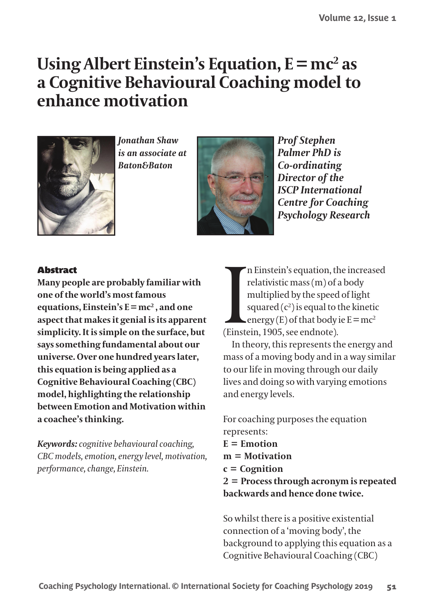# Using Albert Einstein's Equation,  $E = mc^2$  as a Cognitive Behavioural Coaching model to enhance motivation



*<u>Ionathan Shaw</u>* is an associate at **Raton&Baton** 



**Prof Stephen Palmer PhD** is Co-ordinating Director of the **ISCP** International **Centre for Coaching Psychology Research** 

#### **Abstract**

Many people are probably familiar with one of the world's most famous equations. Einstein's  $E = mc^2$ , and one aspect that makes it genial is its apparent simplicity. It is simple on the surface, but says something fundamental about our universe. Over one hundred years later, this equation is being applied as a **Cognitive Behavioural Coaching (CBC)** model, highlighting the relationship between Emotion and Motivation within a coachee's thinking.

Keywords: cognitive behavioural coaching, CBC models, emotion, energy level, motivation, performance, change, Einstein.

n Einstein's equation, the increased relativistic mass (m) of a body multiplied by the speed of light squared  $(c^2)$  is equal to the kinetic  $\angle$  energy (E) of that body ie  $E = mc^2$ (Einstein, 1905, see endnote).

In theory, this represents the energy and mass of a moving body and in a way similar to our life in moving through our daily lives and doing so with varying emotions and energy levels.

For coaching purposes the equation represents:  $E =$ Emotion  $m = Motivation$  $c =$ Cognition  $2 =$  Process through acronym is repeated hackwards and hence done twice

So whilst there is a positive existential connection of a 'moving body', the background to applying this equation as a Cognitive Behavioural Coaching (CBC)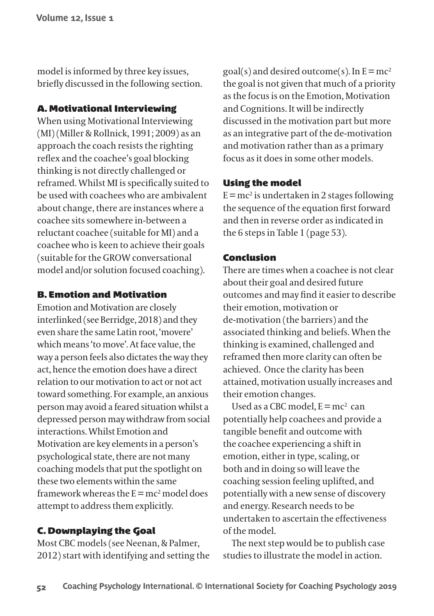model is informed by three key issues, briefly discussed in the following section.

#### **A. Motivational Interviewing**

When using Motivational Interviewing (MI) (Miller & Rollnick, 1991; 2009) as an approach the coach resists the righting reflex and the coachee's goal blocking thinking is not directly challenged or reframed. Whilst MI is specifically suited to be used with coachees who are ambivalent about change, there are instances where a coachee sits somewhere in-between a reluctant coachee (suitable for MI) and a coachee who is keen to achieve their goals (suitable for the GROW conversational model and/or solution focused coaching).

#### **B. Emotion and Motivation**

Emotion and Motivation are closely interlinked (see Berridge, 2018) and they even share the same Latin root, 'movere' which means 'to move'. At face value, the way a person feels also dictates the way they act, hence the emotion does have a direct relation to our motivation to act or not act toward something. For example, an anxious person may avoid a feared situation whilst a depressed person may withdraw from social interactions Whilst Emotion and Motivation are key elements in a person's psychological state, there are not many coaching models that put the spotlight on these two elements within the same framework whereas the  $E = mc^2$  model does attempt to address them explicitly.

#### **C. Downplaving the Goal**

Most CBC models (see Neenan, & Palmer, 2012) start with identifying and setting the goal(s) and desired outcome(s). In  $E = mc^2$ the goal is not given that much of a priority as the focus is on the Emotion, Motivation and Cognitions. It will be indirectly discussed in the motivation part but more as an integrative part of the de-motivation and motivation rather than as a primary focus as it does in some other models

#### **Using the model**

 $E = mc^2$  is undertaken in 2 stages following the sequence of the equation first forward and then in reverse order as indicated in the 6 steps in Table 1 (page 53).

#### Conclusion

There are times when a coachee is not clear about their goal and desired future outcomes and may find it easier to describe their emotion, motivation or de-motivation (the barriers) and the associated thinking and beliefs. When the thinking is examined, challenged and reframed then more clarity can often be achieved. Once the clarity has been attained, motivation usually increases and their emotion changes.

Used as a CBC model,  $E = mc^2$  can potentially help coachees and provide a tangible benefit and outcome with the coachee experiencing a shift in emotion, either in type, scaling, or both and in doing so will leave the coaching session feeling uplifted, and potentially with a new sense of discovery and energy. Research needs to be undertaken to ascertain the effectiveness of the model

The next step would be to publish case studies to illustrate the model in action.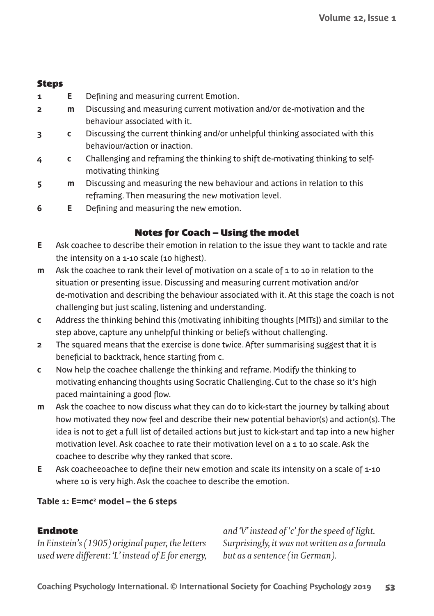#### **Steps**

- **1 E** Defining and measuring current Emotion.
- **2 m** Discussing and measuring current motivation and/or de-motivation and the behaviour associated with it.
- **3 c** Discussing the current thinking and/or unhelpful thinking associated with this behaviour/action or inaction.
- **4 c** Challenging and reframing the thinking to shift de-motivating thinking to selfmotivating thinking
- **5 m** Discussing and measuring the new behaviour and actions in relation to this reframing. Then measuring the new motivation level.
- **6 E** Defining and measuring the new emotion.

#### **Notes for Coach – Using the model**

- **E** Ask coachee to describe their emotion in relation to the issue they want to tackle and rate the intensity on a 1-10 scale (10 highest).
- **m** Ask the coachee to rank their level of motivation on a scale of 1 to 10 in relation to the situation or presenting issue. Discussing and measuring current motivation and/or de-motivation and describing the behaviour associated with it. At this stage the coach is not challenging but just scaling, listening and understanding.
- **c** Address the thinking behind this (motivating inhibiting thoughts [MITs]) and similar to the step above, capture any unhelpful thinking or beliefs without challenging.
- **2** The squared means that the exercise is done twice. After summarising suggest that it is beneficial to backtrack, hence starting from c.
- **c** Now help the coachee challenge the thinking and reframe. Modify the thinking to motivating enhancing thoughts using Socratic Challenging. Cut to the chase so it's high paced maintaining a good flow.
- **m** Ask the coachee to now discuss what they can do to kick-start the journey by talking about how motivated they now feel and describe their new potential behavior(s) and action(s). The idea is not to get a full list of detailed actions but just to kick-start and tap into a new higher motivation level. Ask coachee to rate their motivation level on a 1 to 10 scale. Ask the coachee to describe why they ranked that score.
- **E** Ask coacheeoachee to define their new emotion and scale its intensity on a scale of 1-10 where 10 is very high. Ask the coachee to describe the emotion.

#### **Table 1: E=mc2 model – the 6 steps**

#### **Endnote**

In Einstein's (1905) original paper, the letters *USEDāWEREāDIFFERENTāk,lāINSTEADāOFā%āFORāENERGYā*

and 'V' instead of 'c' for the speed of light. *3URPRISINGLYāITāWASāNOTāWRITTENāASāAāFORMULAā but as a sentence (in German).*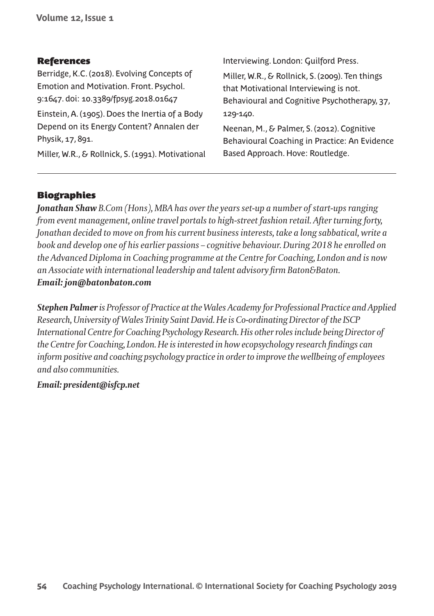#### **References**

Berridge, K.C. (2018). Evolving Concepts of Emotion and Motivation. Front. Psychol. 9:1647. doi: 10.3389/fpsyg.2018.01647 Einstein, A. (1905). Does the Inertia of a Body Depend on its Energy Content? Annalen der Physik, 17, 891.

Miller, W.R., & Rollnick, S. (1991). Motivational

Interviewing. London: Guilford Press.

Miller, W.R., & Rollnick, S. (2009). Ten things that Motivational Interviewing is not. Behavioural and Cognitive Psychotherapy, 37, 129-140.

Neenan, M., & Palmer, S. (2012). Cognitive Behavioural Coaching in Practice: An Evidence Based Approach. Hove: Routledge.

#### **Biographies**

**Jonathan Shaw** B.Com (Hons), MBA has over the years set-up a number of start-ups ranging from event management, online travel portals to high-street fashion retail. After turning forty, Jonathan decided to move on from his current business interests, take a long sabbatical, write a book and develop one of his earlier passions - cognitive behaviour. During 2018 he enrolled on the Advanced Diploma in Coaching programme at the Centre for Coaching, London and is now an Associate with international leadership and talent advisory firm Baton&Baton. Email: jon@batonbaton.com

Stephen Palmer is Professor of Practice at the Wales Academy for Professional Practice and Applied Research, University of Wales Trinity Saint David. He is Co-ordinating Director of the ISCP International Centre for Coaching Psychology Research. His other roles include being Director of the Centre for Coaching, London. He is interested in how ecopsychology research findings can inform positive and coaching psychology practice in order to improve the wellbeing of employees and also communities.

#### Email: president@isfcp.net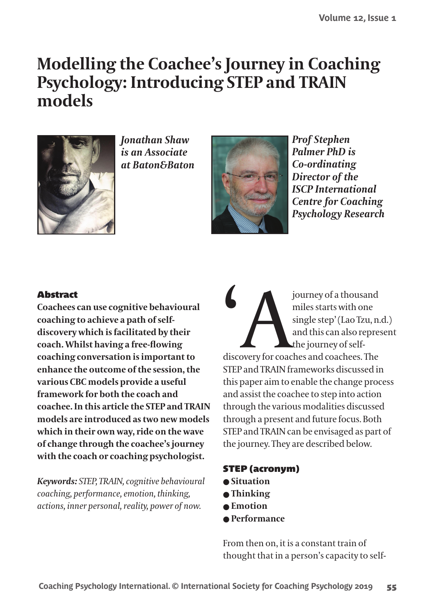# **Modelling the Coachee's Journey in Coaching Psychology: Introducing STEP and TRAIN** models



*<u>Ionathan Shaw</u>* is an Associate at Baton&Baton



**Prof Stephen** Palmer PhD is Co-ordinating Director of the **ISCP** International **Centre for Coaching Psychology Research** 

#### **Abstract**

Coachees can use cognitive behavioural coaching to achieve a path of selfdiscovery which is facilitated by their coach. Whilst having a free-flowing coaching conversation is important to enhance the outcome of the session, the various CBC models provide a useful framework for both the coach and coachee. In this article the STEP and TRAIN models are introduced as two new models which in their own way, ride on the wave of change through the coachee's journey with the coach or coaching psychologist.

Keywords: STEP, TRAIN, cognitive behavioural coaching, performance, emotion, thinking, actions, inner personal, reality, power of now.

journey of a thousand miles starts with one single step' (Lao Tzu, n.d.) and this can also represent the journey of selfdiscovery for coaches and coachees. The STEP and TRAIN frameworks discussed in this paper aim to enable the change process and assist the coachee to step into action through the various modalities discussed through a present and future focus. Both STEP and TRAIN can be envisaged as part of the journey. They are described below.

#### **STEP (acronym)**

- $\bullet$  Situation
- $\bullet$  Thinking
- $\bullet$  Emotion
- $\bullet$  Performance

From then on, it is a constant train of thought that in a person's capacity to self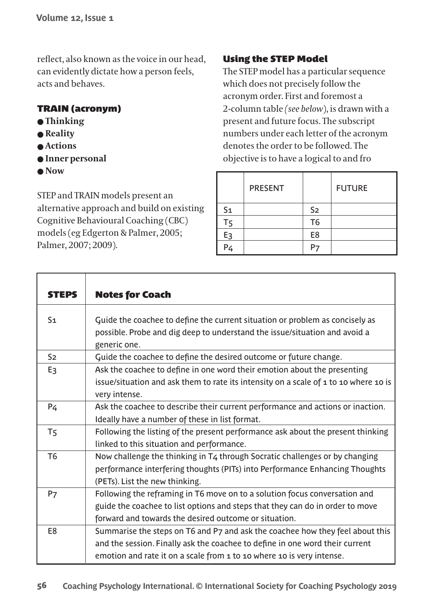reflect, also known as the voice in our head, can evidently dictate how a person feels, acts and behaves

#### **TRAIN (acronym)**

- $\bullet$  Thinking
- $\bullet$  Reality
- **Actions**
- $\bullet$  Inner personal
- $\bullet$  Now

STEP and TRAIN models present an alternative approach and build on existing Cognitive Behavioural Coaching (CBC) models (eg Edgerton & Palmer, 2005; Palmer, 2007; 2009).

## **Using the STEP Model**

The STEP model has a particular sequence which does not precisely follow the acronym order. First and foremost a 2-column table (see below), is drawn with a present and future focus. The subscript numbers under each letter of the acronym denotes the order to be followed. The objective is to have a logical to and fro

|                | PRESENT |                | <b>FUTURE</b> |
|----------------|---------|----------------|---------------|
| S <sub>1</sub> |         | S <sub>2</sub> |               |
| T <sub>5</sub> |         | T <sub>6</sub> |               |
| E <sub>3</sub> |         | E8             |               |
| P4             |         |                |               |

| <b>STEPS</b>   | <b>Notes for Coach</b>                                                                                                                                                     |
|----------------|----------------------------------------------------------------------------------------------------------------------------------------------------------------------------|
| S <sub>1</sub> | Guide the coachee to define the current situation or problem as concisely as<br>possible. Probe and dig deep to understand the issue/situation and avoid a<br>generic one. |
| S <sub>2</sub> | Guide the coachee to define the desired outcome or future change.                                                                                                          |
| E <sub>3</sub> | Ask the coachee to define in one word their emotion about the presenting                                                                                                   |
|                | issue/situation and ask them to rate its intensity on a scale of 1 to 10 where 10 is<br>very intense.                                                                      |
| P4             | Ask the coachee to describe their current performance and actions or inaction.                                                                                             |
|                | Ideally have a number of these in list format.                                                                                                                             |
| Τ5             | Following the listing of the present performance ask about the present thinking                                                                                            |
|                | linked to this situation and performance.                                                                                                                                  |
| T <sub>6</sub> | Now challenge the thinking in $T_4$ through Socratic challenges or by changing                                                                                             |
|                | performance interfering thoughts (PITs) into Performance Enhancing Thoughts                                                                                                |
|                | (PETs). List the new thinking.                                                                                                                                             |
| P7             | Following the reframing in T6 move on to a solution focus conversation and                                                                                                 |
|                | guide the coachee to list options and steps that they can do in order to move                                                                                              |
|                | forward and towards the desired outcome or situation.                                                                                                                      |
| E8             | Summarise the steps on T6 and P7 and ask the coachee how they feel about this                                                                                              |
|                | and the session. Finally ask the coachee to define in one word their current                                                                                               |
|                | emotion and rate it on a scale from 1 to 10 where 10 is very intense.                                                                                                      |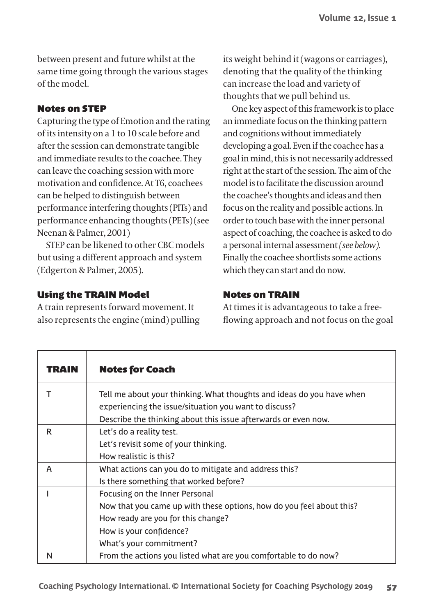between present and future whilst at the same time going through the various stages of the model

#### **Notes on STEP**

Capturing the type of Emotion and the rating of its intensity on a 1 to 10 scale before and after the session can demonstrate tangible and immediate results to the coachee. They can leave the coaching session with more motivation and confidence. At T6, coachees can be helped to distinguish between performance interfering thoughts (PITs) and performance enhancing thoughts (PETs) (see Neenan & Palmer, 2001)

STEP can be likened to other CBC models but using a different approach and system (Edgerton & Palmer, 2005).

#### **Using the TRAIN Model**

A train represents forward movement. It also represents the engine (mind) pulling its weight behind it (wagons or carriages), denoting that the quality of the thinking can increase the load and variety of thoughts that we pull behind us.

One key aspect of this framework is to place an immediate focus on the thinking pattern and cognitions without immediately developing a goal. Even if the coachee has a goal in mind, this is not necessarily addressed right at the start of the session. The aim of the model is to facilitate the discussion around the coachee's thoughts and ideas and then focus on the reality and possible actions. In order to touch base with the inner personal aspect of coaching, the coachee is asked to do a personal internal assessment (see below). Finally the coachee shortlists some actions which they can start and do now.

#### **Notes on TRAIN**

At times it is advantageous to take a freeflowing approach and not focus on the goal

| TRAIN | <b>Notes for Coach</b>                                                                                                                                                                             |
|-------|----------------------------------------------------------------------------------------------------------------------------------------------------------------------------------------------------|
|       | Tell me about your thinking. What thoughts and ideas do you have when<br>experiencing the issue/situation you want to discuss?<br>Describe the thinking about this issue afterwards or even now.   |
| R     | Let's do a reality test.<br>Let's revisit some of your thinking.<br>How realistic is this?                                                                                                         |
| A     | What actions can you do to mitigate and address this?<br>Is there something that worked before?                                                                                                    |
|       | Focusing on the Inner Personal<br>Now that you came up with these options, how do you feel about this?<br>How ready are you for this change?<br>How is your confidence?<br>What's your commitment? |
| N     | From the actions you listed what are you comfortable to do now?                                                                                                                                    |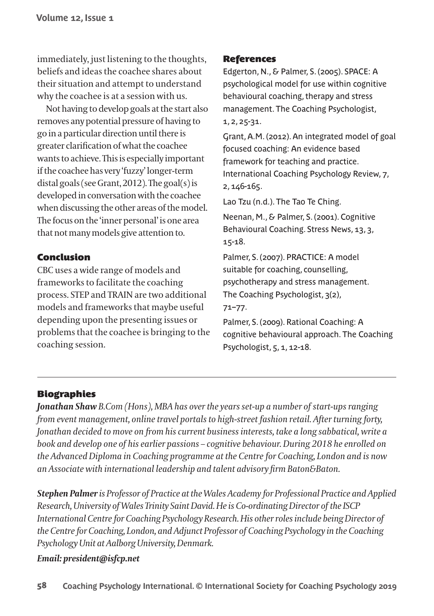immediately, just listening to the thoughts, beliefs and ideas the coachee shares about their situation and attempt to understand why the coachee is at a session with us.

Not having to develop goals at the start also removes any potential pressure of having to go in a particular direction until there is greater clarification of what the coachee wants to achieve. This is especially important if the coachee has very 'fuzzy' longer-term distal goals (see Grant, 2012). The goal(s) is developed in conversation with the coachee when discussing the other areas of the model. The focus on the 'inner personal' is one area that not many models give attention to.

#### **Conclusion**

CBC uses a wide range of models and frameworks to facilitate the coaching process. STEP and TRAIN are two additional models and frameworks that maybe useful depending upon the presenting issues or problems that the coachee is bringing to the coaching session.

#### **References**

Edgerton, N., & Palmer, S. (2005). SPACE: A psychological model for use within cognitive behavioural coaching, therapy and stress management. The Coaching Psychologist,  $1, 2, 25 - 31.$ 

Grant, A.M. (2012). An integrated model of goal focused coaching: An evidence based framework for teaching and practice. International Coaching Psychology Review, 7,  $2.146 - 165.$ 

Lao Tzu (n.d.). The Tao Te Ching.

Neenan, M., & Palmer, S. (2001). Cognitive Behavioural Coaching, Stress News, 13, 3,  $15 - 18$ .

Palmer, S. (2007). PRACTICE: A model suitable for coaching, counselling, psychotherapy and stress management. The Coaching Psychologist, 3(2),  $71 - 77.$ 

Palmer, S. (2009). Rational Coaching: A cognitive behavioural approach. The Coaching Psychologist, 5, 1, 12-18.

## **Biographies**

**Jonathan Shaw** B.Com (Hons), MBA has over the years set-up a number of start-ups ranging from event management, online travel portals to high-street fashion retail. After turning forty, Jonathan decided to move on from his current business interests, take a long sabbatical, write a book and develop one of his earlier passions – cognitive behaviour. During 2018 he enrolled on the Advanced Diploma in Coaching programme at the Centre for Coaching, London and is now an Associate with international leadership and talent advisory firm Baton&Baton.

Stephen Palmer is Professor of Practice at the Wales Academy for Professional Practice and Applied Research, University of Wales Trinity Saint David. He is Co-ordinating Director of the ISCP International Centre for Coaching Psychology Research. His other roles include being Director of the Centre for Coaching. London, and Adjunct Professor of Coaching Psychology in the Coaching Psychology Unit at Aalborg University, Denmark.

#### Email: president@isfcp.net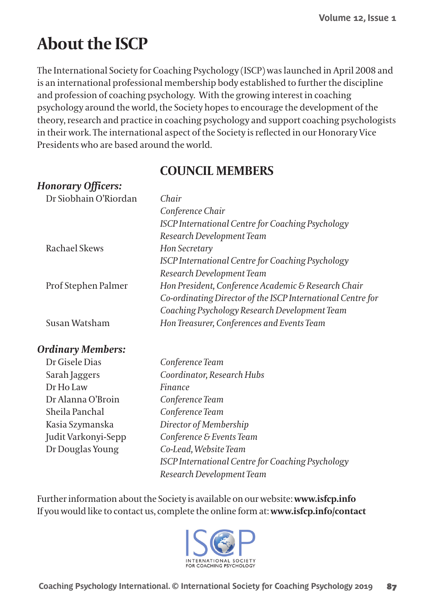# **About the ISCP**

The International Society for Coaching Psychology (ISCP) was launched in April 2008 and is an international professional membership body established to further the discipline and profession of coaching psychology. With the growing interest in coaching psychology around the world, the Society hopes to encourage the development of the theory, research and practice in coaching psychology and support coaching psychologists in their work. The international aspect of the Society is reflected in our Honorary Vice Presidents who are based around the world.

# **COUNCIL MEMBERS**

## Honorary Officers

Dr Douglas Young

| $\cdots \cdots \cdots$ |                                                             |
|------------------------|-------------------------------------------------------------|
| Dr Siobhain O'Riordan  | Chair                                                       |
|                        | Conference Chair                                            |
|                        | ISCP International Centre for Coaching Psychology           |
|                        | Research Development Team                                   |
| Rachael Skews          | Hon Secretary                                               |
|                        | ISCP International Centre for Coaching Psychology           |
|                        | Research Development Team                                   |
| Prof Stephen Palmer    | Hon President, Conference Academic & Research Chair         |
|                        | Co-ordinating Director of the ISCP International Centre for |
|                        | Coaching Psychology Research Development Team               |
| Susan Watsham          | Hon Treasurer, Conferences and Events Team                  |
| Ordinary Members:      |                                                             |
| Dr Gisele Dias         | Conference Team                                             |
| Sarah Jaggers          | Coordinator, Research Hubs                                  |
| Dr Ho Law              | Finance                                                     |
| Dr Alanna O'Broin      | Conference Team                                             |
| Sheila Panchal         | Conference Team                                             |
| Kasia Szymanska        | Director of Membership                                      |
| Judit Varkonyi-Sepp    | Conference & Events Team                                    |
|                        |                                                             |

Further information about the Society is available on our website: www.isfcp.info If you would like to contact us, complete the online form at: www.isfcp.info/contact

Co-Lead, Website Team

Research Development Team



**ISCP International Centre for Coaching Psychology**